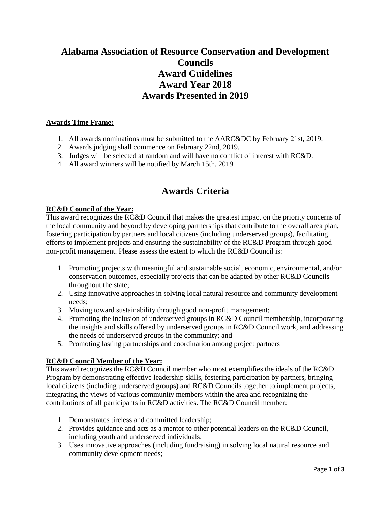# **Alabama Association of Resource Conservation and Development Councils Award Guidelines Award Year 2018 Awards Presented in 2019**

#### **Awards Time Frame:**

- 1. All awards nominations must be submitted to the AARC&DC by February 21st, 2019.
- 2. Awards judging shall commence on February 22nd, 2019.
- 3. Judges will be selected at random and will have no conflict of interest with RC&D.
- 4. All award winners will be notified by March 15th, 2019.

## **Awards Criteria**

#### **RC&D Council of the Year:**

This award recognizes the RC&D Council that makes the greatest impact on the priority concerns of the local community and beyond by developing partnerships that contribute to the overall area plan, fostering participation by partners and local citizens (including underserved groups), facilitating efforts to implement projects and ensuring the sustainability of the RC&D Program through good non-profit management. Please assess the extent to which the RC&D Council is:

- 1. Promoting projects with meaningful and sustainable social, economic, environmental, and/or conservation outcomes, especially projects that can be adapted by other RC&D Councils throughout the state;
- 2. Using innovative approaches in solving local natural resource and community development needs;
- 3. Moving toward sustainability through good non-profit management;
- 4. Promoting the inclusion of underserved groups in RC&D Council membership, incorporating the insights and skills offered by underserved groups in RC&D Council work, and addressing the needs of underserved groups in the community; and
- 5. Promoting lasting partnerships and coordination among project partners

#### **RC&D Council Member of the Year:**

This award recognizes the RC&D Council member who most exemplifies the ideals of the RC&D Program by demonstrating effective leadership skills, fostering participation by partners, bringing local citizens (including underserved groups) and RC&D Councils together to implement projects, integrating the views of various community members within the area and recognizing the contributions of all participants in RC&D activities. The RC&D Council member:

- 1. Demonstrates tireless and committed leadership;
- 2. Provides guidance and acts as a mentor to other potential leaders on the RC&D Council, including youth and underserved individuals;
- 3. Uses innovative approaches (including fundraising) in solving local natural resource and community development needs;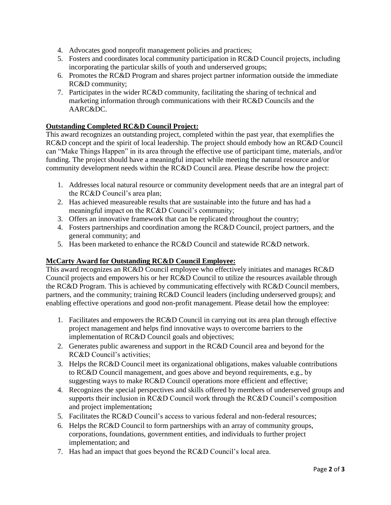- 4. Advocates good nonprofit management policies and practices;
- 5. Fosters and coordinates local community participation in RC&D Council projects, including incorporating the particular skills of youth and underserved groups;
- 6. Promotes the RC&D Program and shares project partner information outside the immediate RC&D community;
- 7. Participates in the wider RC&D community, facilitating the sharing of technical and marketing information through communications with their RC&D Councils and the AARC&DC.

## **Outstanding Completed RC&D Council Project:**

This award recognizes an outstanding project, completed within the past year, that exemplifies the RC&D concept and the spirit of local leadership. The project should embody how an RC&D Council can "Make Things Happen" in its area through the effective use of participant time, materials, and/or funding. The project should have a meaningful impact while meeting the natural resource and/or community development needs within the RC&D Council area. Please describe how the project:

- 1. Addresses local natural resource or community development needs that are an integral part of the RC&D Council's area plan;
- 2. Has achieved measureable results that are sustainable into the future and has had a meaningful impact on the RC&D Council's community;
- 3. Offers an innovative framework that can be replicated throughout the country;
- 4. Fosters partnerships and coordination among the RC&D Council, project partners, and the general community; and
- 5. Has been marketed to enhance the RC&D Council and statewide RC&D network.

#### **McCarty Award for Outstanding RC&D Council Employee:**

This award recognizes an RC&D Council employee who effectively initiates and manages RC&D Council projects and empowers his or her RC&D Council to utilize the resources available through the RC&D Program. This is achieved by communicating effectively with RC&D Council members, partners, and the community; training RC&D Council leaders (including underserved groups); and enabling effective operations and good non-profit management. Please detail how the employee:

- 1. Facilitates and empowers the RC&D Council in carrying out its area plan through effective project management and helps find innovative ways to overcome barriers to the implementation of RC&D Council goals and objectives;
- 2. Generates public awareness and support in the RC&D Council area and beyond for the RC&D Council's activities;
- 3. Helps the RC&D Council meet its organizational obligations, makes valuable contributions to RC&D Council management, and goes above and beyond requirements, e.g., by suggesting ways to make RC&D Council operations more efficient and effective;
- 4. Recognizes the special perspectives and skills offered by members of underserved groups and supports their inclusion in RC&D Council work through the RC&D Council's composition and project implementation**;**
- 5. Facilitates the RC&D Council's access to various federal and non-federal resources;
- 6. Helps the RC&D Council to form partnerships with an array of community groups, corporations, foundations, government entities, and individuals to further project implementation; and
- 7. Has had an impact that goes beyond the RC&D Council's local area.